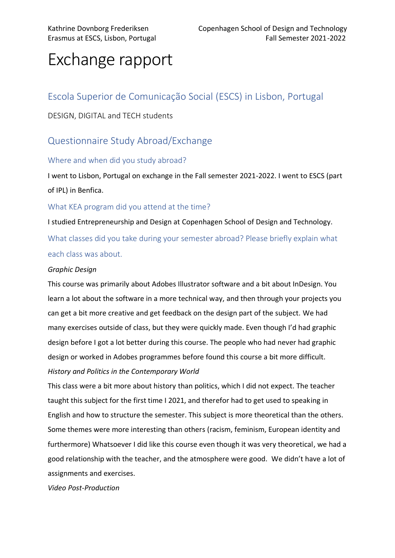# Exchange rapport

## Escola Superior de Comunicação Social (ESCS) in Lisbon, Portugal

#### DESIGN, DIGITAL and TECH students

## Questionnaire Study Abroad/Exchange

#### Where and when did you study abroad?

I went to Lisbon, Portugal on exchange in the Fall semester 2021-2022. I went to ESCS (part of IPL) in Benfica.

#### What KEA program did you attend at the time?

I studied Entrepreneurship and Design at Copenhagen School of Design and Technology. What classes did you take during your semester abroad? Please briefly explain what each class was about.

#### *Graphic Design*

This course was primarily about Adobes Illustrator software and a bit about InDesign. You learn a lot about the software in a more technical way, and then through your projects you can get a bit more creative and get feedback on the design part of the subject. We had many exercises outside of class, but they were quickly made. Even though I'd had graphic design before I got a lot better during this course. The people who had never had graphic design or worked in Adobes programmes before found this course a bit more difficult. *History and Politics in the Contemporary World*

This class were a bit more about history than politics, which I did not expect. The teacher taught this subject for the first time I 2021, and therefor had to get used to speaking in English and how to structure the semester. This subject is more theoretical than the others. Some themes were more interesting than others (racism, feminism, European identity and furthermore) Whatsoever I did like this course even though it was very theoretical, we had a good relationship with the teacher, and the atmosphere were good. We didn't have a lot of assignments and exercises.

*Video Post-Production*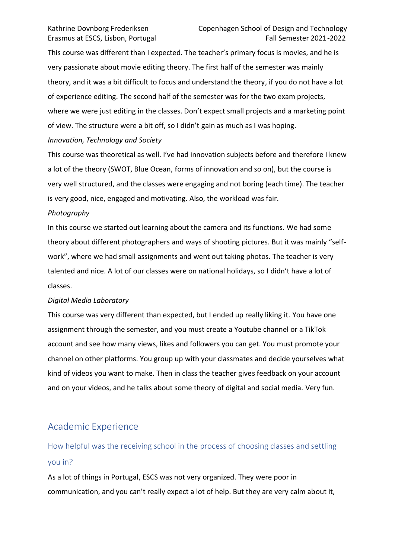This course was different than I expected. The teacher's primary focus is movies, and he is very passionate about movie editing theory. The first half of the semester was mainly theory, and it was a bit difficult to focus and understand the theory, if you do not have a lot of experience editing. The second half of the semester was for the two exam projects, where we were just editing in the classes. Don't expect small projects and a marketing point of view. The structure were a bit off, so I didn't gain as much as I was hoping. *Innovation, Technology and Society*

This course was theoretical as well. I've had innovation subjects before and therefore I knew a lot of the theory (SWOT, Blue Ocean, forms of innovation and so on), but the course is very well structured, and the classes were engaging and not boring (each time). The teacher is very good, nice, engaged and motivating. Also, the workload was fair.

#### *Photography*

In this course we started out learning about the camera and its functions. We had some theory about different photographers and ways of shooting pictures. But it was mainly "selfwork", where we had small assignments and went out taking photos. The teacher is very talented and nice. A lot of our classes were on national holidays, so I didn't have a lot of classes.

#### *Digital Media Laboratory*

This course was very different than expected, but I ended up really liking it. You have one assignment through the semester, and you must create a Youtube channel or a TikTok account and see how many views, likes and followers you can get. You must promote your channel on other platforms. You group up with your classmates and decide yourselves what kind of videos you want to make. Then in class the teacher gives feedback on your account and on your videos, and he talks about some theory of digital and social media. Very fun.

## Academic Experience

## How helpful was the receiving school in the process of choosing classes and settling you in?

As a lot of things in Portugal, ESCS was not very organized. They were poor in communication, and you can't really expect a lot of help. But they are very calm about it,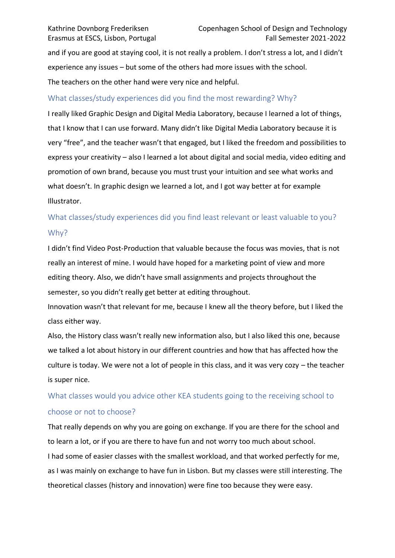and if you are good at staying cool, it is not really a problem. I don't stress a lot, and I didn't experience any issues – but some of the others had more issues with the school. The teachers on the other hand were very nice and helpful.

## What classes/study experiences did you find the most rewarding? Why?

I really liked Graphic Design and Digital Media Laboratory, because I learned a lot of things, that I know that I can use forward. Many didn't like Digital Media Laboratory because it is very "free", and the teacher wasn't that engaged, but I liked the freedom and possibilities to express your creativity – also I learned a lot about digital and social media, video editing and promotion of own brand, because you must trust your intuition and see what works and what doesn't. In graphic design we learned a lot, and I got way better at for example Illustrator.

## What classes/study experiences did you find least relevant or least valuable to you? Why?

I didn't find Video Post-Production that valuable because the focus was movies, that is not really an interest of mine. I would have hoped for a marketing point of view and more editing theory. Also, we didn't have small assignments and projects throughout the semester, so you didn't really get better at editing throughout.

Innovation wasn't that relevant for me, because I knew all the theory before, but I liked the class either way.

Also, the History class wasn't really new information also, but I also liked this one, because we talked a lot about history in our different countries and how that has affected how the culture is today. We were not a lot of people in this class, and it was very cozy – the teacher is super nice.

## What classes would you advice other KEA students going to the receiving school to choose or not to choose?

That really depends on why you are going on exchange. If you are there for the school and to learn a lot, or if you are there to have fun and not worry too much about school. I had some of easier classes with the smallest workload, and that worked perfectly for me, as I was mainly on exchange to have fun in Lisbon. But my classes were still interesting. The theoretical classes (history and innovation) were fine too because they were easy.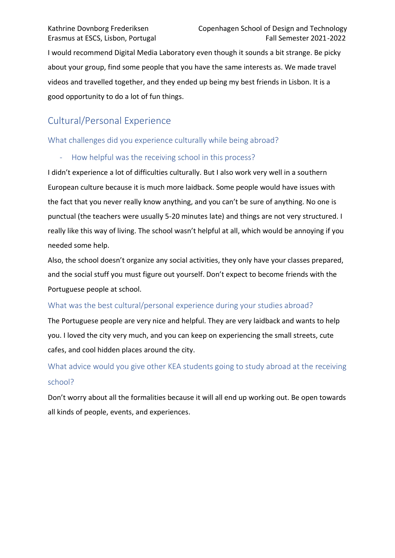I would recommend Digital Media Laboratory even though it sounds a bit strange. Be picky about your group, find some people that you have the same interests as. We made travel videos and travelled together, and they ended up being my best friends in Lisbon. It is a good opportunity to do a lot of fun things.

## Cultural/Personal Experience

## What challenges did you experience culturally while being abroad?

## - How helpful was the receiving school in this process?

I didn't experience a lot of difficulties culturally. But I also work very well in a southern European culture because it is much more laidback. Some people would have issues with the fact that you never really know anything, and you can't be sure of anything. No one is punctual (the teachers were usually 5-20 minutes late) and things are not very structured. I really like this way of living. The school wasn't helpful at all, which would be annoying if you needed some help.

Also, the school doesn't organize any social activities, they only have your classes prepared, and the social stuff you must figure out yourself. Don't expect to become friends with the Portuguese people at school.

## What was the best cultural/personal experience during your studies abroad?

The Portuguese people are very nice and helpful. They are very laidback and wants to help you. I loved the city very much, and you can keep on experiencing the small streets, cute cafes, and cool hidden places around the city.

## What advice would you give other KEA students going to study abroad at the receiving school?

Don't worry about all the formalities because it will all end up working out. Be open towards all kinds of people, events, and experiences.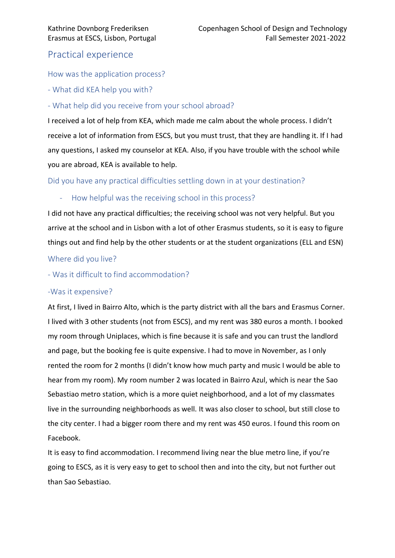## Practical experience

How was the application process?

- What did KEA help you with?

### - What help did you receive from your school abroad?

I received a lot of help from KEA, which made me calm about the whole process. I didn't receive a lot of information from ESCS, but you must trust, that they are handling it. If I had any questions, I asked my counselor at KEA. Also, if you have trouble with the school while you are abroad, KEA is available to help.

Did you have any practical difficulties settling down in at your destination?

## - How helpful was the receiving school in this process?

I did not have any practical difficulties; the receiving school was not very helpful. But you arrive at the school and in Lisbon with a lot of other Erasmus students, so it is easy to figure things out and find help by the other students or at the student organizations (ELL and ESN)

Where did you live?

- Was it difficult to find accommodation?

#### -Was it expensive?

At first, I lived in Bairro Alto, which is the party district with all the bars and Erasmus Corner. I lived with 3 other students (not from ESCS), and my rent was 380 euros a month. I booked my room through Uniplaces, which is fine because it is safe and you can trust the landlord and page, but the booking fee is quite expensive. I had to move in November, as I only rented the room for 2 months (I didn't know how much party and music I would be able to hear from my room). My room number 2 was located in Bairro Azul, which is near the Sao Sebastiao metro station, which is a more quiet neighborhood, and a lot of my classmates live in the surrounding neighborhoods as well. It was also closer to school, but still close to the city center. I had a bigger room there and my rent was 450 euros. I found this room on Facebook.

It is easy to find accommodation. I recommend living near the blue metro line, if you're going to ESCS, as it is very easy to get to school then and into the city, but not further out than Sao Sebastiao.